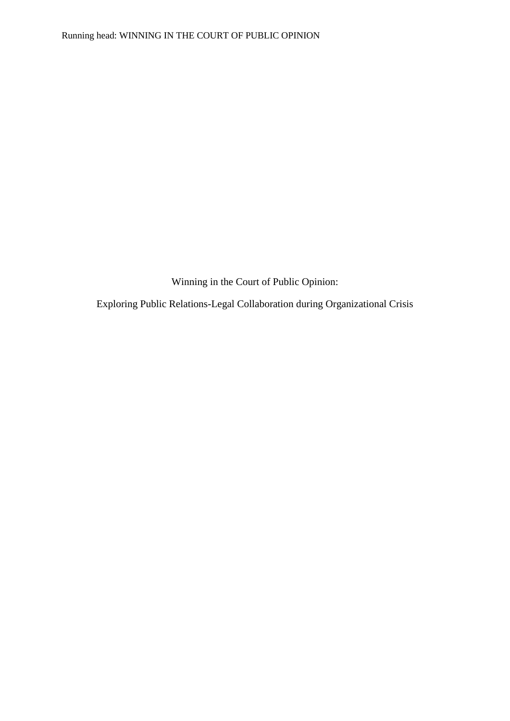Winning in the Court of Public Opinion:

Exploring Public Relations-Legal Collaboration during Organizational Crisis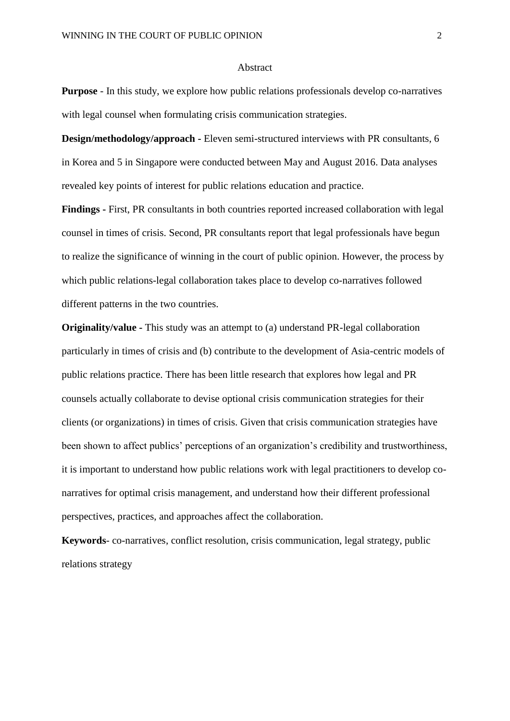#### Abstract

**Purpose** - In this study, we explore how public relations professionals develop co-narratives with legal counsel when formulating crisis communication strategies.

**Design/methodology/approach -** Eleven semi-structured interviews with PR consultants, 6 in Korea and 5 in Singapore were conducted between May and August 2016. Data analyses revealed key points of interest for public relations education and practice.

**Findings -** First, PR consultants in both countries reported increased collaboration with legal counsel in times of crisis. Second, PR consultants report that legal professionals have begun to realize the significance of winning in the court of public opinion. However, the process by which public relations-legal collaboration takes place to develop co-narratives followed different patterns in the two countries.

**Originality/value** - This study was an attempt to (a) understand PR-legal collaboration particularly in times of crisis and (b) contribute to the development of Asia-centric models of public relations practice. There has been little research that explores how legal and PR counsels actually collaborate to devise optional crisis communication strategies for their clients (or organizations) in times of crisis. Given that crisis communication strategies have been shown to affect publics' perceptions of an organization's credibility and trustworthiness, it is important to understand how public relations work with legal practitioners to develop conarratives for optimal crisis management, and understand how their different professional perspectives, practices, and approaches affect the collaboration.

**Keywords**- co-narratives, conflict resolution, crisis communication, legal strategy, public relations strategy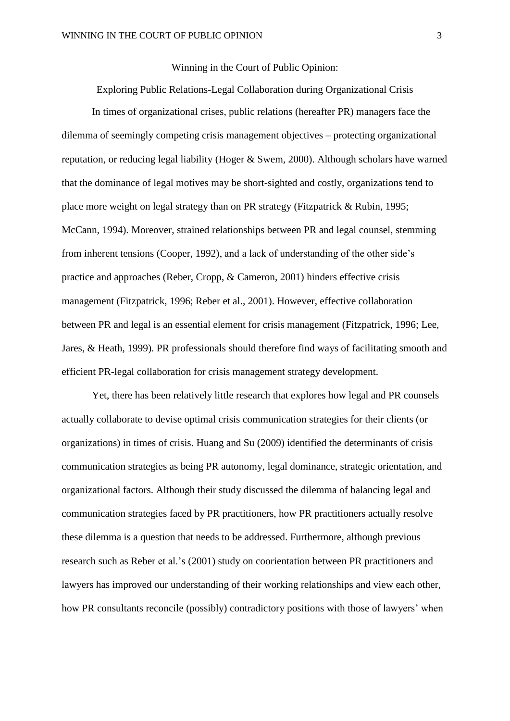## Winning in the Court of Public Opinion:

Exploring Public Relations-Legal Collaboration during Organizational Crisis

In times of organizational crises, public relations (hereafter PR) managers face the dilemma of seemingly competing crisis management objectives – protecting organizational reputation, or reducing legal liability (Hoger & Swem, 2000). Although scholars have warned that the dominance of legal motives may be short-sighted and costly, organizations tend to place more weight on legal strategy than on PR strategy (Fitzpatrick & Rubin, 1995; McCann, 1994). Moreover, strained relationships between PR and legal counsel, stemming from inherent tensions (Cooper, 1992), and a lack of understanding of the other side's practice and approaches (Reber, Cropp, & Cameron, 2001) hinders effective crisis management (Fitzpatrick, 1996; Reber et al., 2001). However, effective collaboration between PR and legal is an essential element for crisis management (Fitzpatrick, 1996; Lee, Jares, & Heath, 1999). PR professionals should therefore find ways of facilitating smooth and efficient PR-legal collaboration for crisis management strategy development.

Yet, there has been relatively little research that explores how legal and PR counsels actually collaborate to devise optimal crisis communication strategies for their clients (or organizations) in times of crisis. Huang and Su (2009) identified the determinants of crisis communication strategies as being PR autonomy, legal dominance, strategic orientation, and organizational factors. Although their study discussed the dilemma of balancing legal and communication strategies faced by PR practitioners, how PR practitioners actually resolve these dilemma is a question that needs to be addressed. Furthermore, although previous research such as Reber et al.'s (2001) study on coorientation between PR practitioners and lawyers has improved our understanding of their working relationships and view each other, how PR consultants reconcile (possibly) contradictory positions with those of lawyers' when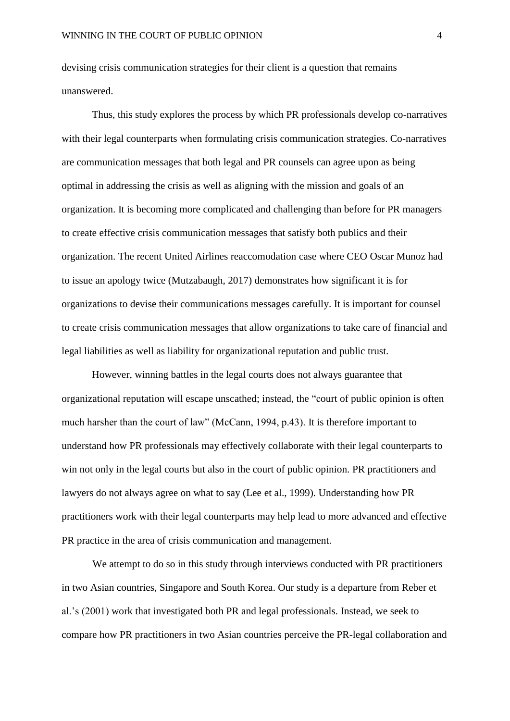devising crisis communication strategies for their client is a question that remains unanswered.

Thus, this study explores the process by which PR professionals develop co-narratives with their legal counterparts when formulating crisis communication strategies. Co-narratives are communication messages that both legal and PR counsels can agree upon as being optimal in addressing the crisis as well as aligning with the mission and goals of an organization. It is becoming more complicated and challenging than before for PR managers to create effective crisis communication messages that satisfy both publics and their organization. The recent United Airlines reaccomodation case where CEO Oscar Munoz had to issue an apology twice (Mutzabaugh, 2017) demonstrates how significant it is for organizations to devise their communications messages carefully. It is important for counsel to create crisis communication messages that allow organizations to take care of financial and legal liabilities as well as liability for organizational reputation and public trust.

However, winning battles in the legal courts does not always guarantee that organizational reputation will escape unscathed; instead, the "court of public opinion is often much harsher than the court of law" (McCann, 1994, p.43). It is therefore important to understand how PR professionals may effectively collaborate with their legal counterparts to win not only in the legal courts but also in the court of public opinion. PR practitioners and lawyers do not always agree on what to say (Lee et al., 1999). Understanding how PR practitioners work with their legal counterparts may help lead to more advanced and effective PR practice in the area of crisis communication and management.

We attempt to do so in this study through interviews conducted with PR practitioners in two Asian countries, Singapore and South Korea. Our study is a departure from Reber et al.'s (2001) work that investigated both PR and legal professionals. Instead, we seek to compare how PR practitioners in two Asian countries perceive the PR-legal collaboration and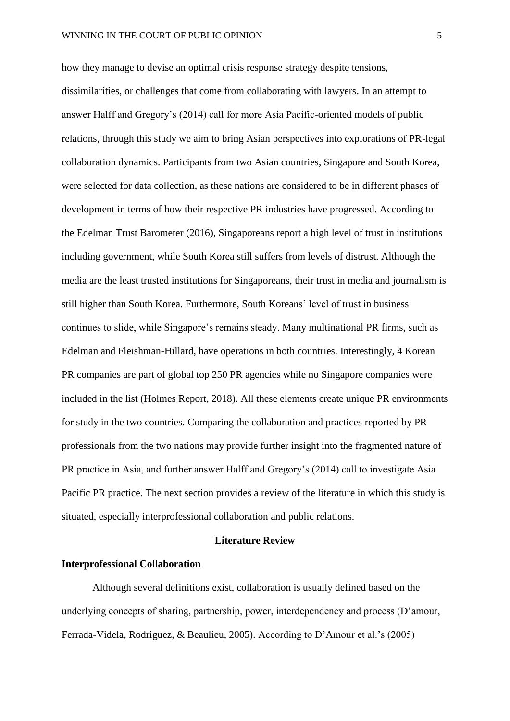how they manage to devise an optimal crisis response strategy despite tensions, dissimilarities, or challenges that come from collaborating with lawyers. In an attempt to answer Halff and Gregory's (2014) call for more Asia Pacific-oriented models of public relations, through this study we aim to bring Asian perspectives into explorations of PR-legal collaboration dynamics. Participants from two Asian countries, Singapore and South Korea, were selected for data collection, as these nations are considered to be in different phases of development in terms of how their respective PR industries have progressed. According to the Edelman Trust Barometer (2016), Singaporeans report a high level of trust in institutions including government, while South Korea still suffers from levels of distrust. Although the media are the least trusted institutions for Singaporeans, their trust in media and journalism is still higher than South Korea. Furthermore, South Koreans' level of trust in business continues to slide, while Singapore's remains steady. Many multinational PR firms, such as Edelman and Fleishman-Hillard, have operations in both countries. Interestingly, 4 Korean PR companies are part of global top 250 PR agencies while no Singapore companies were included in the list (Holmes Report, 2018). All these elements create unique PR environments for study in the two countries. Comparing the collaboration and practices reported by PR professionals from the two nations may provide further insight into the fragmented nature of PR practice in Asia, and further answer Halff and Gregory's (2014) call to investigate Asia Pacific PR practice. The next section provides a review of the literature in which this study is situated, especially interprofessional collaboration and public relations.

## **Literature Review**

## **Interprofessional Collaboration**

Although several definitions exist, collaboration is usually defined based on the underlying concepts of sharing, partnership, power, interdependency and process (D'amour, Ferrada-Videla, Rodriguez, & Beaulieu, 2005). According to D'Amour et al.'s (2005)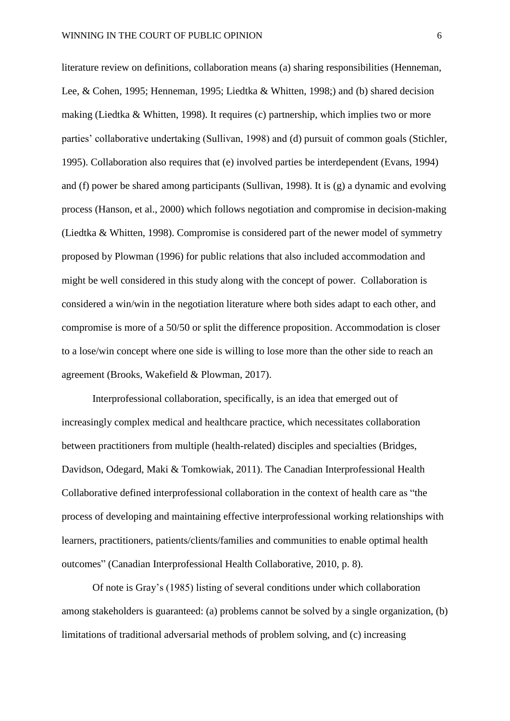literature review on definitions, collaboration means (a) sharing responsibilities (Henneman, Lee, & Cohen, 1995; Henneman, 1995; Liedtka & Whitten, 1998;) and (b) shared decision making (Liedtka & Whitten, 1998). It requires (c) partnership, which implies two or more parties' collaborative undertaking (Sullivan, 1998) and (d) pursuit of common goals (Stichler, 1995). Collaboration also requires that (e) involved parties be interdependent (Evans, 1994) and (f) power be shared among participants (Sullivan, 1998). It is (g) a dynamic and evolving process (Hanson, et al., 2000) which follows negotiation and compromise in decision-making (Liedtka & Whitten, 1998). Compromise is considered part of the newer model of symmetry proposed by Plowman (1996) for public relations that also included accommodation and might be well considered in this study along with the concept of power. Collaboration is considered a win/win in the negotiation literature where both sides adapt to each other, and compromise is more of a 50/50 or split the difference proposition. Accommodation is closer to a lose/win concept where one side is willing to lose more than the other side to reach an agreement (Brooks, Wakefield & Plowman, 2017).

Interprofessional collaboration, specifically, is an idea that emerged out of increasingly complex medical and healthcare practice, which necessitates collaboration between practitioners from multiple (health-related) disciples and specialties (Bridges, Davidson, Odegard, Maki & Tomkowiak, 2011). The Canadian Interprofessional Health Collaborative defined interprofessional collaboration in the context of health care as "the process of developing and maintaining effective interprofessional working relationships with learners, practitioners, patients/clients/families and communities to enable optimal health outcomes" (Canadian Interprofessional Health Collaborative, 2010, p. 8).

Of note is Gray's (1985) listing of several conditions under which collaboration among stakeholders is guaranteed: (a) problems cannot be solved by a single organization, (b) limitations of traditional adversarial methods of problem solving, and (c) increasing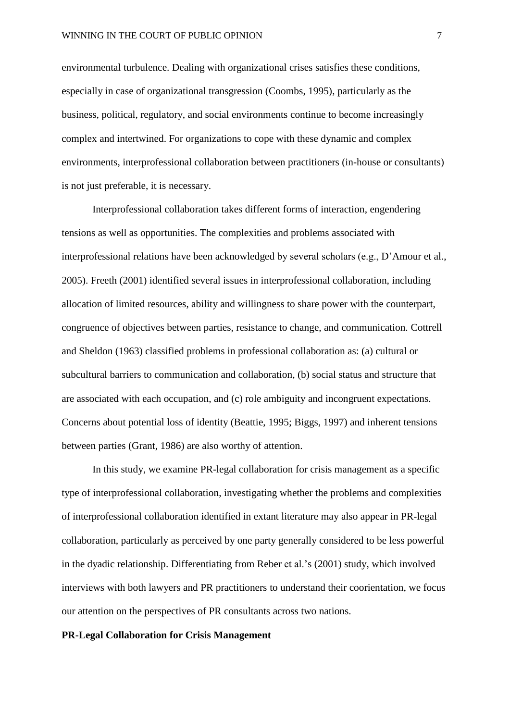environmental turbulence. Dealing with organizational crises satisfies these conditions, especially in case of organizational transgression (Coombs, 1995), particularly as the business, political, regulatory, and social environments continue to become increasingly complex and intertwined. For organizations to cope with these dynamic and complex environments, interprofessional collaboration between practitioners (in-house or consultants) is not just preferable, it is necessary.

Interprofessional collaboration takes different forms of interaction, engendering tensions as well as opportunities. The complexities and problems associated with interprofessional relations have been acknowledged by several scholars (e.g., D'Amour et al., 2005). Freeth (2001) identified several issues in interprofessional collaboration, including allocation of limited resources, ability and willingness to share power with the counterpart, congruence of objectives between parties, resistance to change, and communication. Cottrell and Sheldon (1963) classified problems in professional collaboration as: (a) cultural or subcultural barriers to communication and collaboration, (b) social status and structure that are associated with each occupation, and (c) role ambiguity and incongruent expectations. Concerns about potential loss of identity (Beattie, 1995; Biggs, 1997) and inherent tensions between parties (Grant, 1986) are also worthy of attention.

In this study, we examine PR-legal collaboration for crisis management as a specific type of interprofessional collaboration, investigating whether the problems and complexities of interprofessional collaboration identified in extant literature may also appear in PR-legal collaboration, particularly as perceived by one party generally considered to be less powerful in the dyadic relationship. Differentiating from Reber et al.'s (2001) study, which involved interviews with both lawyers and PR practitioners to understand their coorientation, we focus our attention on the perspectives of PR consultants across two nations.

## **PR-Legal Collaboration for Crisis Management**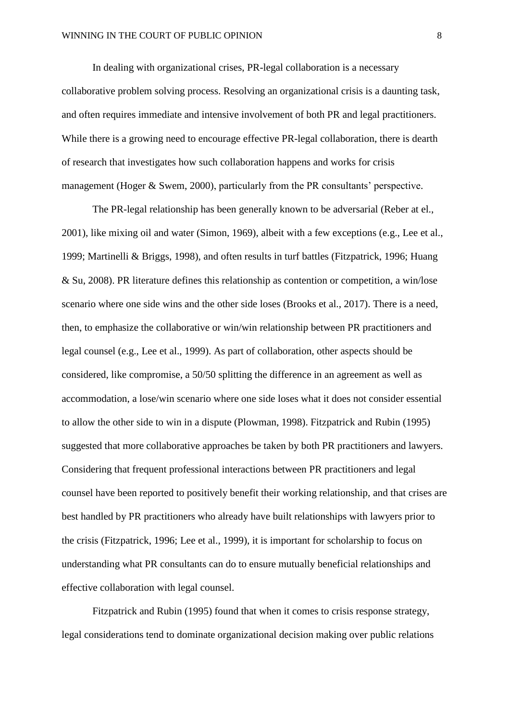In dealing with organizational crises, PR-legal collaboration is a necessary collaborative problem solving process. Resolving an organizational crisis is a daunting task, and often requires immediate and intensive involvement of both PR and legal practitioners. While there is a growing need to encourage effective PR-legal collaboration, there is dearth of research that investigates how such collaboration happens and works for crisis management (Hoger & Swem, 2000), particularly from the PR consultants' perspective.

The PR-legal relationship has been generally known to be adversarial (Reber at el., 2001), like mixing oil and water (Simon, 1969), albeit with a few exceptions (e.g., Lee et al., 1999; Martinelli & Briggs, 1998), and often results in turf battles (Fitzpatrick, 1996; Huang & Su, 2008). PR literature defines this relationship as contention or competition, a win/lose scenario where one side wins and the other side loses (Brooks et al., 2017). There is a need, then, to emphasize the collaborative or win/win relationship between PR practitioners and legal counsel (e.g., Lee et al., 1999). As part of collaboration, other aspects should be considered, like compromise, a 50/50 splitting the difference in an agreement as well as accommodation, a lose/win scenario where one side loses what it does not consider essential to allow the other side to win in a dispute (Plowman, 1998). Fitzpatrick and Rubin (1995) suggested that more collaborative approaches be taken by both PR practitioners and lawyers. Considering that frequent professional interactions between PR practitioners and legal counsel have been reported to positively benefit their working relationship, and that crises are best handled by PR practitioners who already have built relationships with lawyers prior to the crisis (Fitzpatrick, 1996; Lee et al., 1999), it is important for scholarship to focus on understanding what PR consultants can do to ensure mutually beneficial relationships and effective collaboration with legal counsel.

Fitzpatrick and Rubin (1995) found that when it comes to crisis response strategy, legal considerations tend to dominate organizational decision making over public relations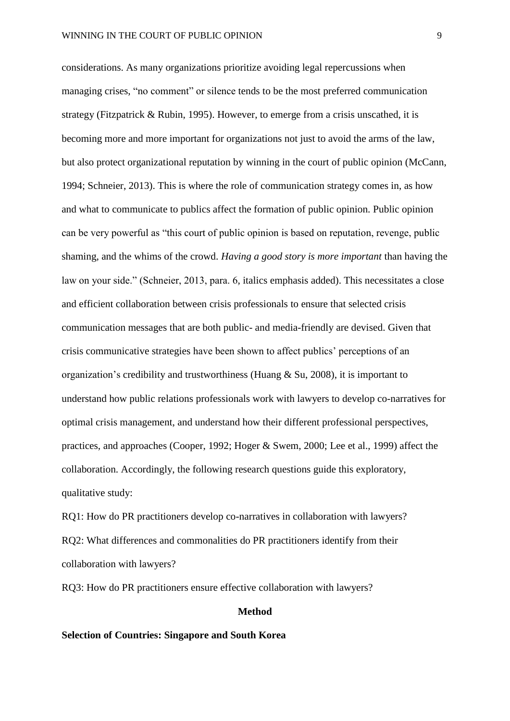considerations. As many organizations prioritize avoiding legal repercussions when managing crises, "no comment" or silence tends to be the most preferred communication strategy (Fitzpatrick & Rubin, 1995). However, to emerge from a crisis unscathed, it is becoming more and more important for organizations not just to avoid the arms of the law, but also protect organizational reputation by winning in the court of public opinion (McCann, 1994; Schneier, 2013). This is where the role of communication strategy comes in, as how and what to communicate to publics affect the formation of public opinion. Public opinion can be very powerful as "this court of public opinion is based on reputation, revenge, public shaming, and the whims of the crowd. *Having a good story is more important* than having the law on your side." (Schneier, 2013, para. 6, italics emphasis added). This necessitates a close and efficient collaboration between crisis professionals to ensure that selected crisis communication messages that are both public- and media-friendly are devised. Given that crisis communicative strategies have been shown to affect publics' perceptions of an organization's credibility and trustworthiness (Huang  $\&$  Su, 2008), it is important to understand how public relations professionals work with lawyers to develop co-narratives for optimal crisis management, and understand how their different professional perspectives, practices, and approaches (Cooper, 1992; Hoger & Swem, 2000; Lee et al., 1999) affect the collaboration. Accordingly, the following research questions guide this exploratory, qualitative study:

RQ1: How do PR practitioners develop co-narratives in collaboration with lawyers? RQ2: What differences and commonalities do PR practitioners identify from their collaboration with lawyers?

RQ3: How do PR practitioners ensure effective collaboration with lawyers?

#### **Method**

### **Selection of Countries: Singapore and South Korea**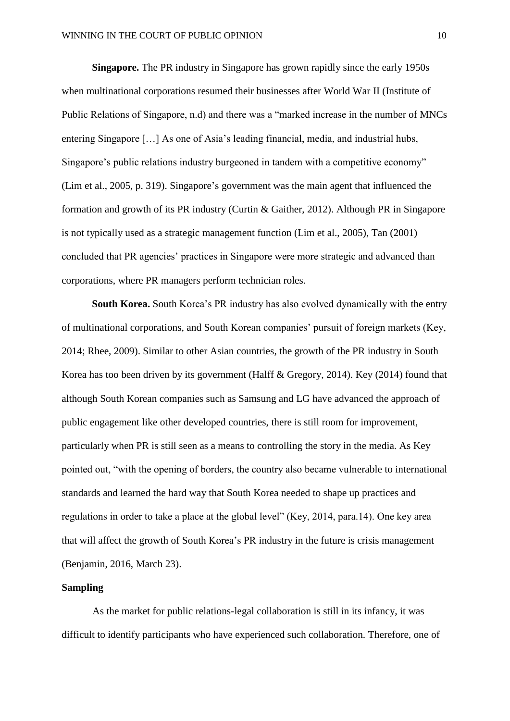**Singapore.** The PR industry in Singapore has grown rapidly since the early 1950s when multinational corporations resumed their businesses after World War II (Institute of Public Relations of Singapore, n.d) and there was a "marked increase in the number of MNCs entering Singapore […] As one of Asia's leading financial, media, and industrial hubs, Singapore's public relations industry burgeoned in tandem with a competitive economy" (Lim et al., 2005, p. 319). Singapore's government was the main agent that influenced the formation and growth of its PR industry (Curtin & Gaither, 2012). Although PR in Singapore is not typically used as a strategic management function (Lim et al., 2005), Tan (2001) concluded that PR agencies' practices in Singapore were more strategic and advanced than corporations, where PR managers perform technician roles.

**South Korea.** South Korea's PR industry has also evolved dynamically with the entry of multinational corporations, and South Korean companies' pursuit of foreign markets (Key, 2014; Rhee, 2009). Similar to other Asian countries, the growth of the PR industry in South Korea has too been driven by its government (Halff & Gregory, 2014). Key (2014) found that although South Korean companies such as Samsung and LG have advanced the approach of public engagement like other developed countries, there is still room for improvement, particularly when PR is still seen as a means to controlling the story in the media. As Key pointed out, "with the opening of borders, the country also became vulnerable to international standards and learned the hard way that South Korea needed to shape up practices and regulations in order to take a place at the global level" (Key, 2014, para.14). One key area that will affect the growth of South Korea's PR industry in the future is crisis management (Benjamin, 2016, March 23).

# **Sampling**

As the market for public relations-legal collaboration is still in its infancy, it was difficult to identify participants who have experienced such collaboration. Therefore, one of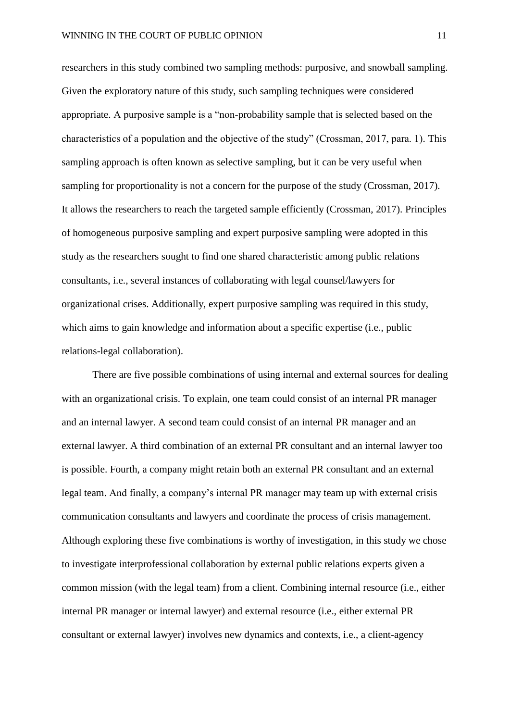researchers in this study combined two sampling methods: purposive, and snowball sampling. Given the exploratory nature of this study, such sampling techniques were considered appropriate. A purposive sample is a "non-probability sample that is selected based on the characteristics of a population and the objective of the study" (Crossman, 2017, para. 1). This sampling approach is often known as selective sampling, but it can be very useful when sampling for proportionality is not a concern for the purpose of the study (Crossman, 2017). It allows the researchers to reach the targeted sample efficiently (Crossman, 2017). Principles of homogeneous purposive sampling and expert purposive sampling were adopted in this study as the researchers sought to find one shared characteristic among public relations consultants, i.e., several instances of collaborating with legal counsel/lawyers for organizational crises. Additionally, expert purposive sampling was required in this study, which aims to gain knowledge and information about a specific expertise (i.e., public relations-legal collaboration).

There are five possible combinations of using internal and external sources for dealing with an organizational crisis. To explain, one team could consist of an internal PR manager and an internal lawyer. A second team could consist of an internal PR manager and an external lawyer. A third combination of an external PR consultant and an internal lawyer too is possible. Fourth, a company might retain both an external PR consultant and an external legal team. And finally, a company's internal PR manager may team up with external crisis communication consultants and lawyers and coordinate the process of crisis management. Although exploring these five combinations is worthy of investigation, in this study we chose to investigate interprofessional collaboration by external public relations experts given a common mission (with the legal team) from a client. Combining internal resource (i.e., either internal PR manager or internal lawyer) and external resource (i.e., either external PR consultant or external lawyer) involves new dynamics and contexts, i.e., a client-agency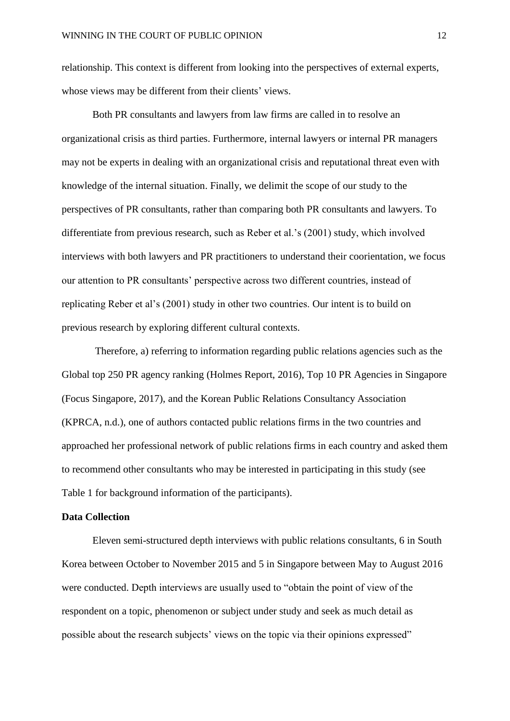relationship. This context is different from looking into the perspectives of external experts, whose views may be different from their clients' views.

Both PR consultants and lawyers from law firms are called in to resolve an organizational crisis as third parties. Furthermore, internal lawyers or internal PR managers may not be experts in dealing with an organizational crisis and reputational threat even with knowledge of the internal situation. Finally, we delimit the scope of our study to the perspectives of PR consultants, rather than comparing both PR consultants and lawyers. To differentiate from previous research, such as Reber et al.'s (2001) study, which involved interviews with both lawyers and PR practitioners to understand their coorientation, we focus our attention to PR consultants' perspective across two different countries, instead of replicating Reber et al's (2001) study in other two countries. Our intent is to build on previous research by exploring different cultural contexts.

Therefore, a) referring to information regarding public relations agencies such as the Global top 250 PR agency ranking (Holmes Report, 2016), Top 10 PR Agencies in Singapore (Focus Singapore, 2017), and the Korean Public Relations Consultancy Association (KPRCA, n.d.), one of authors contacted public relations firms in the two countries and approached her professional network of public relations firms in each country and asked them to recommend other consultants who may be interested in participating in this study (see Table 1 for background information of the participants).

### **Data Collection**

Eleven semi-structured depth interviews with public relations consultants, 6 in South Korea between October to November 2015 and 5 in Singapore between May to August 2016 were conducted. Depth interviews are usually used to "obtain the point of view of the respondent on a topic, phenomenon or subject under study and seek as much detail as possible about the research subjects' views on the topic via their opinions expressed"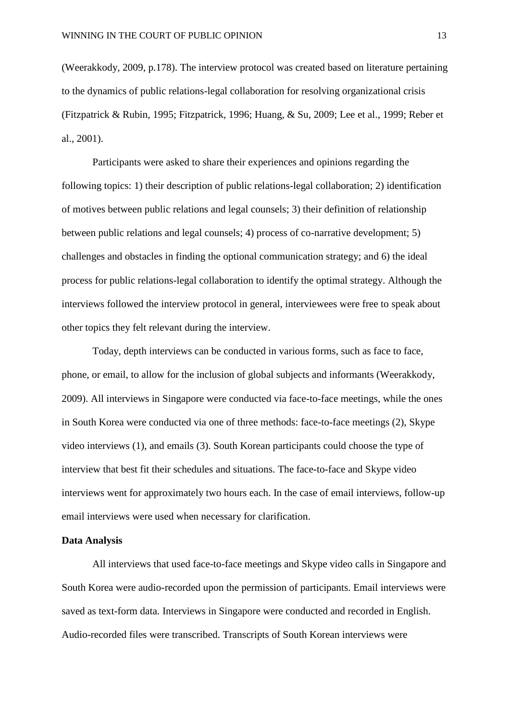(Weerakkody, 2009, p.178). The interview protocol was created based on literature pertaining to the dynamics of public relations-legal collaboration for resolving organizational crisis (Fitzpatrick & Rubin, 1995; Fitzpatrick, 1996; Huang, & Su, 2009; Lee et al., 1999; Reber et al., 2001).

Participants were asked to share their experiences and opinions regarding the following topics: 1) their description of public relations-legal collaboration; 2) identification of motives between public relations and legal counsels; 3) their definition of relationship between public relations and legal counsels; 4) process of co-narrative development; 5) challenges and obstacles in finding the optional communication strategy; and 6) the ideal process for public relations-legal collaboration to identify the optimal strategy. Although the interviews followed the interview protocol in general, interviewees were free to speak about other topics they felt relevant during the interview.

Today, depth interviews can be conducted in various forms, such as face to face, phone, or email, to allow for the inclusion of global subjects and informants (Weerakkody, 2009). All interviews in Singapore were conducted via face-to-face meetings, while the ones in South Korea were conducted via one of three methods: face-to-face meetings (2), Skype video interviews (1), and emails (3). South Korean participants could choose the type of interview that best fit their schedules and situations. The face-to-face and Skype video interviews went for approximately two hours each. In the case of email interviews, follow-up email interviews were used when necessary for clarification.

# **Data Analysis**

All interviews that used face-to-face meetings and Skype video calls in Singapore and South Korea were audio-recorded upon the permission of participants. Email interviews were saved as text-form data. Interviews in Singapore were conducted and recorded in English. Audio-recorded files were transcribed. Transcripts of South Korean interviews were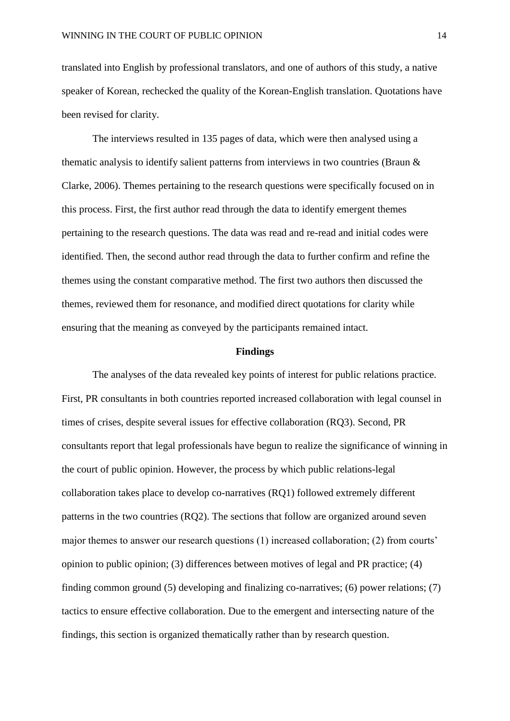translated into English by professional translators, and one of authors of this study, a native speaker of Korean, rechecked the quality of the Korean-English translation. Quotations have been revised for clarity.

The interviews resulted in 135 pages of data, which were then analysed using a thematic analysis to identify salient patterns from interviews in two countries (Braun & Clarke, 2006). Themes pertaining to the research questions were specifically focused on in this process. First, the first author read through the data to identify emergent themes pertaining to the research questions. The data was read and re-read and initial codes were identified. Then, the second author read through the data to further confirm and refine the themes using the constant comparative method. The first two authors then discussed the themes, reviewed them for resonance, and modified direct quotations for clarity while ensuring that the meaning as conveyed by the participants remained intact.

#### **Findings**

The analyses of the data revealed key points of interest for public relations practice. First, PR consultants in both countries reported increased collaboration with legal counsel in times of crises, despite several issues for effective collaboration (RQ3). Second, PR consultants report that legal professionals have begun to realize the significance of winning in the court of public opinion. However, the process by which public relations-legal collaboration takes place to develop co-narratives (RQ1) followed extremely different patterns in the two countries (RQ2). The sections that follow are organized around seven major themes to answer our research questions (1) increased collaboration; (2) from courts' opinion to public opinion; (3) differences between motives of legal and PR practice; (4) finding common ground (5) developing and finalizing co-narratives; (6) power relations; (7) tactics to ensure effective collaboration. Due to the emergent and intersecting nature of the findings, this section is organized thematically rather than by research question.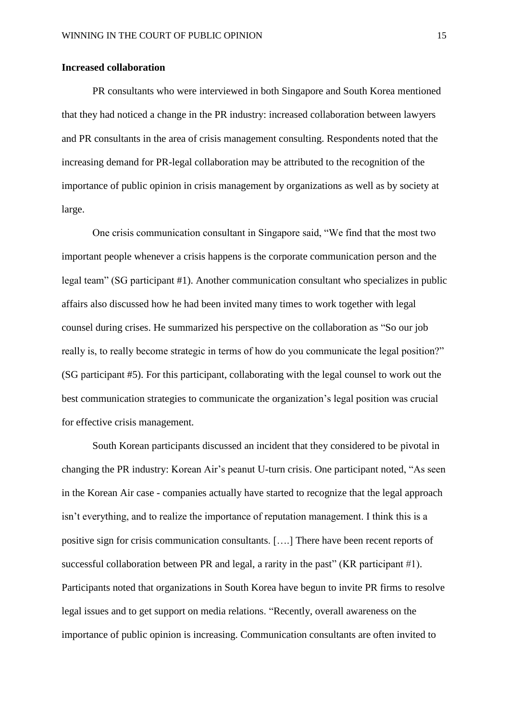### **Increased collaboration**

PR consultants who were interviewed in both Singapore and South Korea mentioned that they had noticed a change in the PR industry: increased collaboration between lawyers and PR consultants in the area of crisis management consulting. Respondents noted that the increasing demand for PR-legal collaboration may be attributed to the recognition of the importance of public opinion in crisis management by organizations as well as by society at large.

One crisis communication consultant in Singapore said, "We find that the most two important people whenever a crisis happens is the corporate communication person and the legal team" (SG participant #1). Another communication consultant who specializes in public affairs also discussed how he had been invited many times to work together with legal counsel during crises. He summarized his perspective on the collaboration as "So our job really is, to really become strategic in terms of how do you communicate the legal position?" (SG participant #5). For this participant, collaborating with the legal counsel to work out the best communication strategies to communicate the organization's legal position was crucial for effective crisis management.

South Korean participants discussed an incident that they considered to be pivotal in changing the PR industry: Korean Air's peanut U-turn crisis. One participant noted, "As seen in the Korean Air case - companies actually have started to recognize that the legal approach isn't everything, and to realize the importance of reputation management. I think this is a positive sign for crisis communication consultants. [….] There have been recent reports of successful collaboration between PR and legal, a rarity in the past" ( $KR$  participant  $\#1$ ). Participants noted that organizations in South Korea have begun to invite PR firms to resolve legal issues and to get support on media relations. "Recently, overall awareness on the importance of public opinion is increasing. Communication consultants are often invited to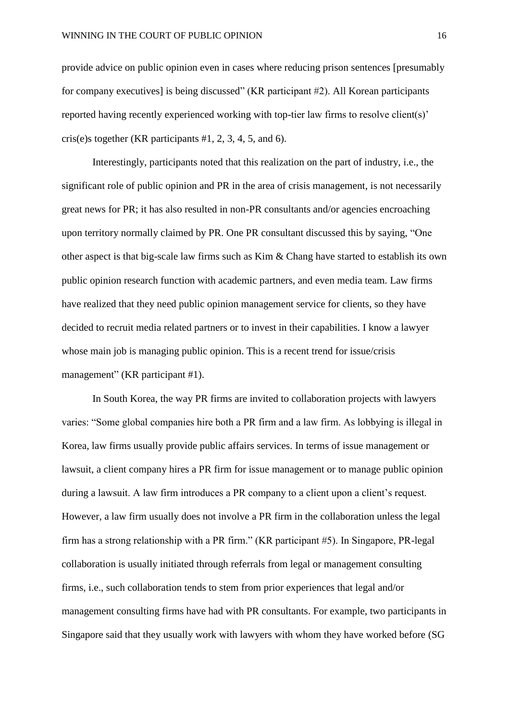provide advice on public opinion even in cases where reducing prison sentences [presumably for company executives] is being discussed" (KR participant #2). All Korean participants reported having recently experienced working with top-tier law firms to resolve client(s)' cris(e)s together (KR participants  $#1, 2, 3, 4, 5,$  and 6).

Interestingly, participants noted that this realization on the part of industry, i.e., the significant role of public opinion and PR in the area of crisis management, is not necessarily great news for PR; it has also resulted in non-PR consultants and/or agencies encroaching upon territory normally claimed by PR. One PR consultant discussed this by saying, "One other aspect is that big-scale law firms such as Kim & Chang have started to establish its own public opinion research function with academic partners, and even media team. Law firms have realized that they need public opinion management service for clients, so they have decided to recruit media related partners or to invest in their capabilities. I know a lawyer whose main job is managing public opinion. This is a recent trend for issue/crisis management" (KR participant #1).

In South Korea, the way PR firms are invited to collaboration projects with lawyers varies: "Some global companies hire both a PR firm and a law firm. As lobbying is illegal in Korea, law firms usually provide public affairs services. In terms of issue management or lawsuit, a client company hires a PR firm for issue management or to manage public opinion during a lawsuit. A law firm introduces a PR company to a client upon a client's request. However, a law firm usually does not involve a PR firm in the collaboration unless the legal firm has a strong relationship with a PR firm." (KR participant #5). In Singapore, PR-legal collaboration is usually initiated through referrals from legal or management consulting firms, i.e., such collaboration tends to stem from prior experiences that legal and/or management consulting firms have had with PR consultants. For example, two participants in Singapore said that they usually work with lawyers with whom they have worked before (SG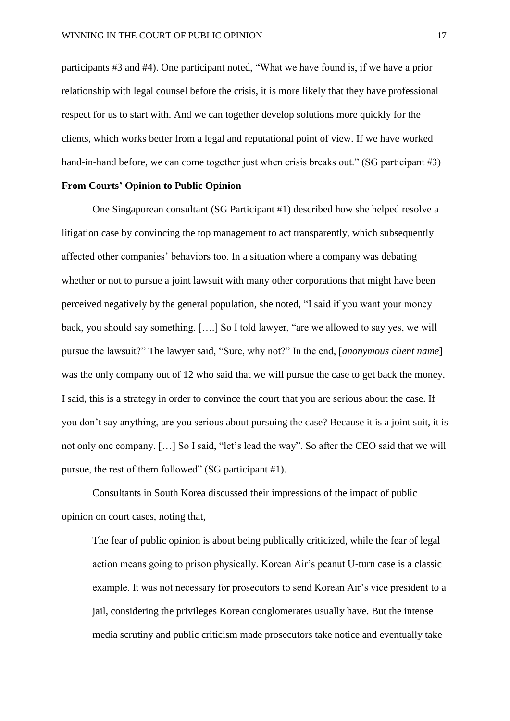participants #3 and #4). One participant noted, "What we have found is, if we have a prior relationship with legal counsel before the crisis, it is more likely that they have professional respect for us to start with. And we can together develop solutions more quickly for the clients, which works better from a legal and reputational point of view. If we have worked hand-in-hand before, we can come together just when crisis breaks out." (SG participant #3)

## **From Courts' Opinion to Public Opinion**

One Singaporean consultant (SG Participant #1) described how she helped resolve a litigation case by convincing the top management to act transparently, which subsequently affected other companies' behaviors too. In a situation where a company was debating whether or not to pursue a joint lawsuit with many other corporations that might have been perceived negatively by the general population, she noted, "I said if you want your money back, you should say something. [….] So I told lawyer, "are we allowed to say yes, we will pursue the lawsuit?" The lawyer said, "Sure, why not?" In the end, [*anonymous client name*] was the only company out of 12 who said that we will pursue the case to get back the money. I said, this is a strategy in order to convince the court that you are serious about the case. If you don't say anything, are you serious about pursuing the case? Because it is a joint suit, it is not only one company. […] So I said, "let's lead the way". So after the CEO said that we will pursue, the rest of them followed" (SG participant #1).

Consultants in South Korea discussed their impressions of the impact of public opinion on court cases, noting that,

The fear of public opinion is about being publically criticized, while the fear of legal action means going to prison physically. Korean Air's peanut U-turn case is a classic example. It was not necessary for prosecutors to send Korean Air's vice president to a jail, considering the privileges Korean conglomerates usually have. But the intense media scrutiny and public criticism made prosecutors take notice and eventually take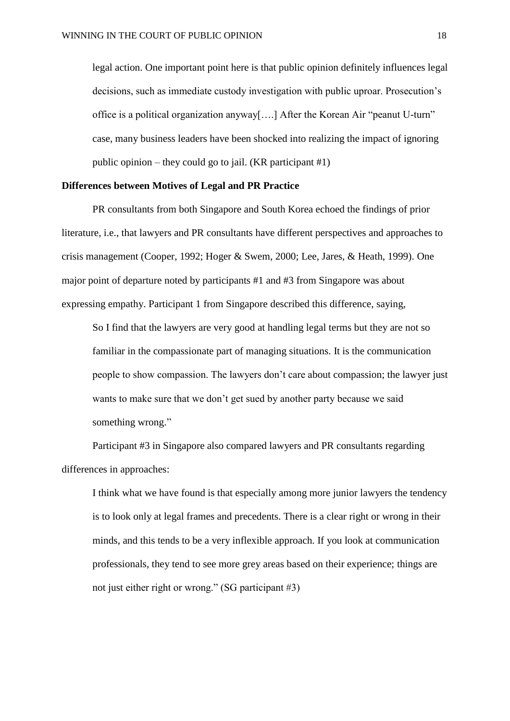legal action. One important point here is that public opinion definitely influences legal decisions, such as immediate custody investigation with public uproar. Prosecution's office is a political organization anyway[….] After the Korean Air "peanut U-turn" case, many business leaders have been shocked into realizing the impact of ignoring public opinion – they could go to jail. (KR participant #1)

## **Differences between Motives of Legal and PR Practice**

PR consultants from both Singapore and South Korea echoed the findings of prior literature, i.e., that lawyers and PR consultants have different perspectives and approaches to crisis management (Cooper, 1992; Hoger & Swem, 2000; Lee, Jares, & Heath, 1999). One major point of departure noted by participants #1 and #3 from Singapore was about expressing empathy. Participant 1 from Singapore described this difference, saying,

So I find that the lawyers are very good at handling legal terms but they are not so familiar in the compassionate part of managing situations. It is the communication people to show compassion. The lawyers don't care about compassion; the lawyer just wants to make sure that we don't get sued by another party because we said something wrong."

Participant #3 in Singapore also compared lawyers and PR consultants regarding differences in approaches:

I think what we have found is that especially among more junior lawyers the tendency is to look only at legal frames and precedents. There is a clear right or wrong in their minds, and this tends to be a very inflexible approach. If you look at communication professionals, they tend to see more grey areas based on their experience; things are not just either right or wrong." (SG participant #3)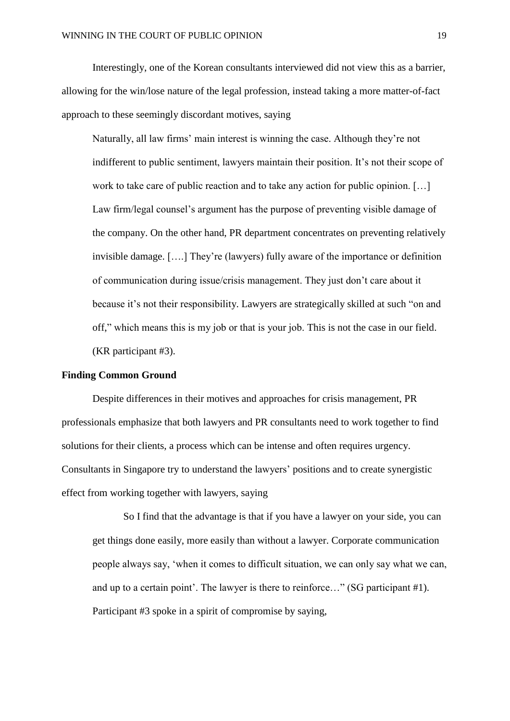Interestingly, one of the Korean consultants interviewed did not view this as a barrier, allowing for the win/lose nature of the legal profession, instead taking a more matter-of-fact approach to these seemingly discordant motives, saying

Naturally, all law firms' main interest is winning the case. Although they're not indifferent to public sentiment, lawyers maintain their position. It's not their scope of work to take care of public reaction and to take any action for public opinion. […] Law firm/legal counsel's argument has the purpose of preventing visible damage of the company. On the other hand, PR department concentrates on preventing relatively invisible damage. [….] They're (lawyers) fully aware of the importance or definition of communication during issue/crisis management. They just don't care about it because it's not their responsibility. Lawyers are strategically skilled at such "on and off," which means this is my job or that is your job. This is not the case in our field. (KR participant #3).

### **Finding Common Ground**

Despite differences in their motives and approaches for crisis management, PR professionals emphasize that both lawyers and PR consultants need to work together to find solutions for their clients, a process which can be intense and often requires urgency. Consultants in Singapore try to understand the lawyers' positions and to create synergistic effect from working together with lawyers, saying

So I find that the advantage is that if you have a lawyer on your side, you can get things done easily, more easily than without a lawyer. Corporate communication people always say, 'when it comes to difficult situation, we can only say what we can, and up to a certain point'. The lawyer is there to reinforce…" (SG participant #1). Participant #3 spoke in a spirit of compromise by saying,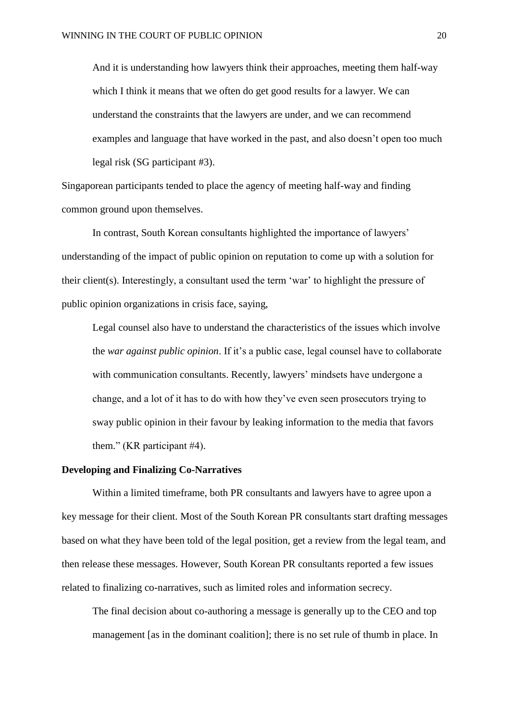And it is understanding how lawyers think their approaches, meeting them half-way which I think it means that we often do get good results for a lawyer. We can understand the constraints that the lawyers are under, and we can recommend examples and language that have worked in the past, and also doesn't open too much legal risk (SG participant #3).

Singaporean participants tended to place the agency of meeting half-way and finding common ground upon themselves.

In contrast, South Korean consultants highlighted the importance of lawyers' understanding of the impact of public opinion on reputation to come up with a solution for their client(s). Interestingly, a consultant used the term 'war' to highlight the pressure of public opinion organizations in crisis face, saying,

Legal counsel also have to understand the characteristics of the issues which involve the *war against public opinion*. If it's a public case, legal counsel have to collaborate with communication consultants. Recently, lawyers' mindsets have undergone a change, and a lot of it has to do with how they've even seen prosecutors trying to sway public opinion in their favour by leaking information to the media that favors them." (KR participant #4).

## **Developing and Finalizing Co-Narratives**

Within a limited timeframe, both PR consultants and lawyers have to agree upon a key message for their client. Most of the South Korean PR consultants start drafting messages based on what they have been told of the legal position, get a review from the legal team, and then release these messages. However, South Korean PR consultants reported a few issues related to finalizing co-narratives, such as limited roles and information secrecy.

The final decision about co-authoring a message is generally up to the CEO and top management [as in the dominant coalition]; there is no set rule of thumb in place. In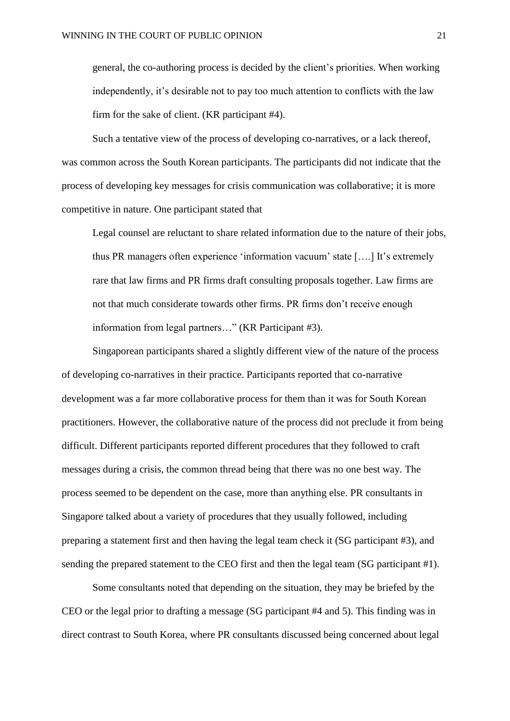general, the co-authoring process is decided by the client's priorities. When working independently, it's desirable not to pay too much attention to conflicts with the law firm for the sake of client. (KR participant #4).

Such a tentative view of the process of developing co-narratives, or a lack thereof, was common across the South Korean participants. The participants did not indicate that the process of developing key messages for crisis communication was collaborative; it is more competitive in nature. One participant stated that

Legal counsel are reluctant to share related information due to the nature of their jobs, thus PR managers often experience 'information vacuum' state [….] It's extremely rare that law firms and PR firms draft consulting proposals together. Law firms are not that much considerate towards other firms. PR firms don't receive enough information from legal partners…" (KR Participant #3).

Singaporean participants shared a slightly different view of the nature of the process of developing co-narratives in their practice. Participants reported that co-narrative development was a far more collaborative process for them than it was for South Korean practitioners. However, the collaborative nature of the process did not preclude it from being difficult. Different participants reported different procedures that they followed to craft messages during a crisis, the common thread being that there was no one best way. The process seemed to be dependent on the case, more than anything else. PR consultants in Singapore talked about a variety of procedures that they usually followed, including preparing a statement first and then having the legal team check it (SG participant #3), and sending the prepared statement to the CEO first and then the legal team (SG participant #1).

Some consultants noted that depending on the situation, they may be briefed by the CEO or the legal prior to drafting a message (SG participant #4 and 5). This finding was in direct contrast to South Korea, where PR consultants discussed being concerned about legal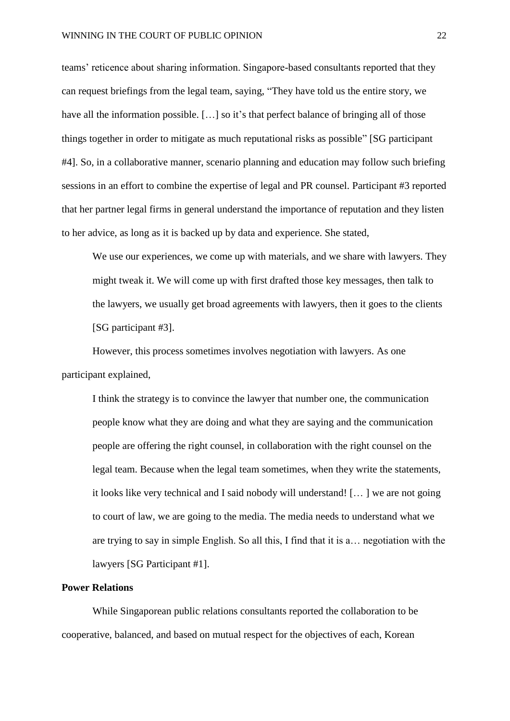teams' reticence about sharing information. Singapore-based consultants reported that they can request briefings from the legal team, saying, "They have told us the entire story, we have all the information possible. [...] so it's that perfect balance of bringing all of those things together in order to mitigate as much reputational risks as possible" [SG participant #4]. So, in a collaborative manner, scenario planning and education may follow such briefing sessions in an effort to combine the expertise of legal and PR counsel. Participant #3 reported that her partner legal firms in general understand the importance of reputation and they listen to her advice, as long as it is backed up by data and experience. She stated,

We use our experiences, we come up with materials, and we share with lawyers. They might tweak it. We will come up with first drafted those key messages, then talk to the lawyers, we usually get broad agreements with lawyers, then it goes to the clients [SG participant #3].

However, this process sometimes involves negotiation with lawyers. As one participant explained,

I think the strategy is to convince the lawyer that number one, the communication people know what they are doing and what they are saying and the communication people are offering the right counsel, in collaboration with the right counsel on the legal team. Because when the legal team sometimes, when they write the statements, it looks like very technical and I said nobody will understand! [… ] we are not going to court of law, we are going to the media. The media needs to understand what we are trying to say in simple English. So all this, I find that it is a… negotiation with the lawyers [SG Participant #1].

# **Power Relations**

While Singaporean public relations consultants reported the collaboration to be cooperative, balanced, and based on mutual respect for the objectives of each, Korean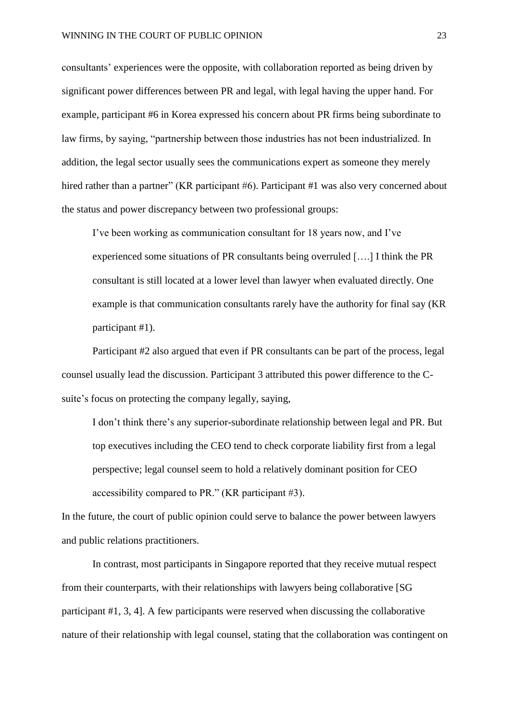consultants' experiences were the opposite, with collaboration reported as being driven by significant power differences between PR and legal, with legal having the upper hand. For example, participant #6 in Korea expressed his concern about PR firms being subordinate to law firms, by saying, "partnership between those industries has not been industrialized. In addition, the legal sector usually sees the communications expert as someone they merely hired rather than a partner" (KR participant #6). Participant #1 was also very concerned about the status and power discrepancy between two professional groups:

I've been working as communication consultant for 18 years now, and I've experienced some situations of PR consultants being overruled [….] I think the PR consultant is still located at a lower level than lawyer when evaluated directly. One example is that communication consultants rarely have the authority for final say (KR participant #1).

Participant #2 also argued that even if PR consultants can be part of the process, legal counsel usually lead the discussion. Participant 3 attributed this power difference to the Csuite's focus on protecting the company legally, saying,

I don't think there's any superior-subordinate relationship between legal and PR. But top executives including the CEO tend to check corporate liability first from a legal perspective; legal counsel seem to hold a relatively dominant position for CEO accessibility compared to PR." (KR participant #3).

In the future, the court of public opinion could serve to balance the power between lawyers and public relations practitioners.

In contrast, most participants in Singapore reported that they receive mutual respect from their counterparts, with their relationships with lawyers being collaborative [SG participant #1, 3, 4]. A few participants were reserved when discussing the collaborative nature of their relationship with legal counsel, stating that the collaboration was contingent on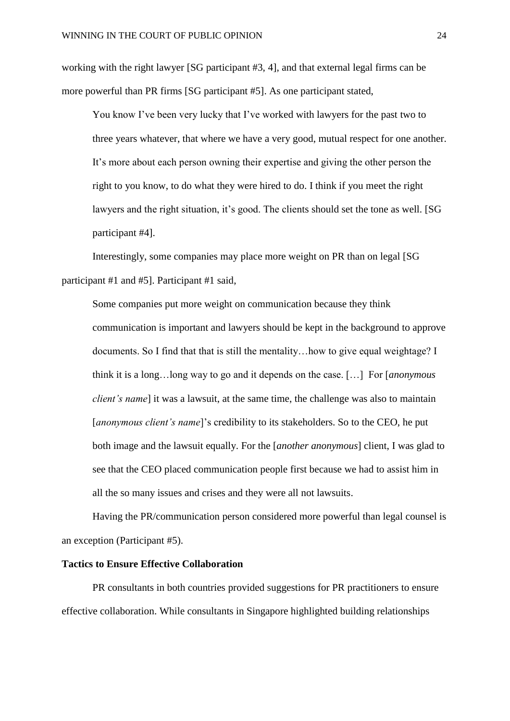working with the right lawyer [SG participant #3, 4], and that external legal firms can be more powerful than PR firms [SG participant #5]. As one participant stated,

You know I've been very lucky that I've worked with lawyers for the past two to three years whatever, that where we have a very good, mutual respect for one another. It's more about each person owning their expertise and giving the other person the right to you know, to do what they were hired to do. I think if you meet the right lawyers and the right situation, it's good. The clients should set the tone as well. [SG participant #4].

Interestingly, some companies may place more weight on PR than on legal [SG participant #1 and #5]. Participant #1 said,

Some companies put more weight on communication because they think communication is important and lawyers should be kept in the background to approve documents. So I find that that is still the mentality…how to give equal weightage? I think it is a long…long way to go and it depends on the case. […] For [*anonymous client's name*] it was a lawsuit, at the same time, the challenge was also to maintain [*anonymous client's name*]'s credibility to its stakeholders. So to the CEO, he put both image and the lawsuit equally. For the [*another anonymous*] client, I was glad to see that the CEO placed communication people first because we had to assist him in all the so many issues and crises and they were all not lawsuits.

Having the PR/communication person considered more powerful than legal counsel is an exception (Participant #5).

## **Tactics to Ensure Effective Collaboration**

PR consultants in both countries provided suggestions for PR practitioners to ensure effective collaboration. While consultants in Singapore highlighted building relationships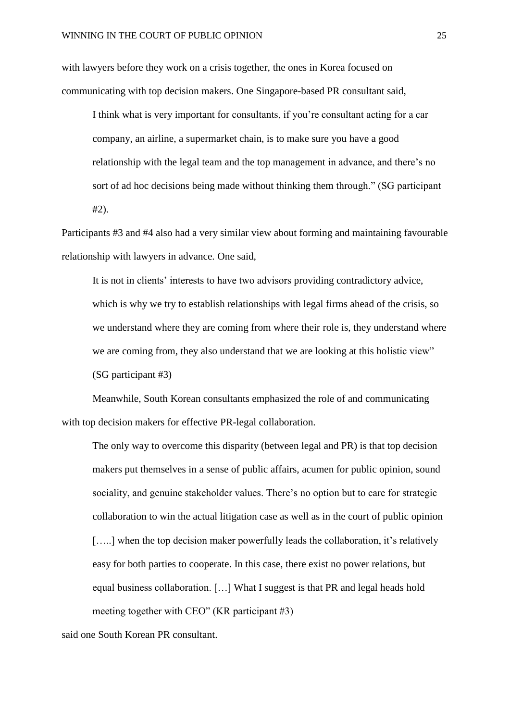with lawyers before they work on a crisis together, the ones in Korea focused on communicating with top decision makers. One Singapore-based PR consultant said,

I think what is very important for consultants, if you're consultant acting for a car company, an airline, a supermarket chain, is to make sure you have a good relationship with the legal team and the top management in advance, and there's no sort of ad hoc decisions being made without thinking them through." (SG participant #2).

Participants #3 and #4 also had a very similar view about forming and maintaining favourable relationship with lawyers in advance. One said,

It is not in clients' interests to have two advisors providing contradictory advice, which is why we try to establish relationships with legal firms ahead of the crisis, so we understand where they are coming from where their role is, they understand where we are coming from, they also understand that we are looking at this holistic view" (SG participant #3)

Meanwhile, South Korean consultants emphasized the role of and communicating with top decision makers for effective PR-legal collaboration.

The only way to overcome this disparity (between legal and PR) is that top decision makers put themselves in a sense of public affairs, acumen for public opinion, sound sociality, and genuine stakeholder values. There's no option but to care for strategic collaboration to win the actual litigation case as well as in the court of public opinion [....] when the top decision maker powerfully leads the collaboration, it's relatively easy for both parties to cooperate. In this case, there exist no power relations, but equal business collaboration. […] What I suggest is that PR and legal heads hold meeting together with CEO" (KR participant #3)

said one South Korean PR consultant.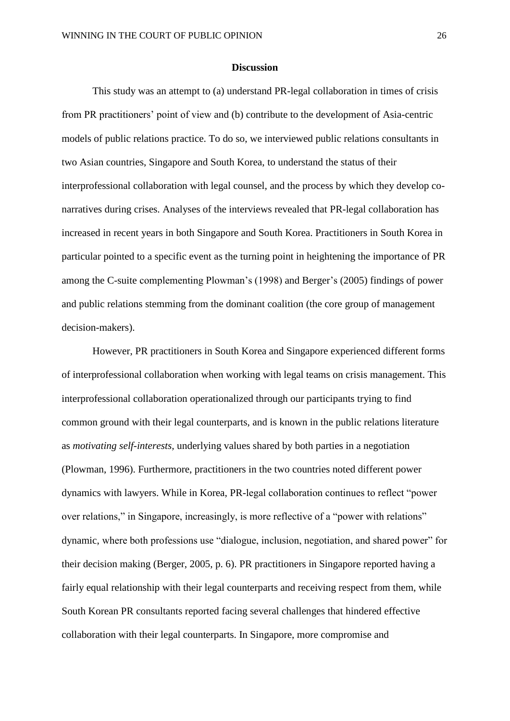#### **Discussion**

This study was an attempt to (a) understand PR-legal collaboration in times of crisis from PR practitioners' point of view and (b) contribute to the development of Asia-centric models of public relations practice. To do so, we interviewed public relations consultants in two Asian countries, Singapore and South Korea, to understand the status of their interprofessional collaboration with legal counsel, and the process by which they develop conarratives during crises. Analyses of the interviews revealed that PR-legal collaboration has increased in recent years in both Singapore and South Korea. Practitioners in South Korea in particular pointed to a specific event as the turning point in heightening the importance of PR among the C-suite complementing Plowman's (1998) and Berger's (2005) findings of power and public relations stemming from the dominant coalition (the core group of management decision-makers).

However, PR practitioners in South Korea and Singapore experienced different forms of interprofessional collaboration when working with legal teams on crisis management. This interprofessional collaboration operationalized through our participants trying to find common ground with their legal counterparts, and is known in the public relations literature as *motivating self-interests,* underlying values shared by both parties in a negotiation (Plowman, 1996). Furthermore, practitioners in the two countries noted different power dynamics with lawyers. While in Korea, PR-legal collaboration continues to reflect "power over relations," in Singapore, increasingly, is more reflective of a "power with relations" dynamic, where both professions use "dialogue, inclusion, negotiation, and shared power" for their decision making (Berger, 2005, p. 6). PR practitioners in Singapore reported having a fairly equal relationship with their legal counterparts and receiving respect from them, while South Korean PR consultants reported facing several challenges that hindered effective collaboration with their legal counterparts. In Singapore, more compromise and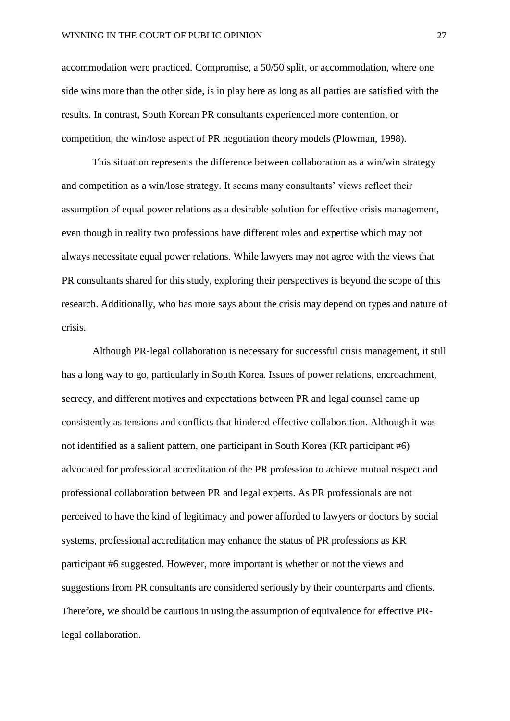accommodation were practiced. Compromise, a 50/50 split, or accommodation, where one side wins more than the other side, is in play here as long as all parties are satisfied with the results. In contrast, South Korean PR consultants experienced more contention, or competition, the win/lose aspect of PR negotiation theory models (Plowman, 1998).

This situation represents the difference between collaboration as a win/win strategy and competition as a win/lose strategy. It seems many consultants' views reflect their assumption of equal power relations as a desirable solution for effective crisis management, even though in reality two professions have different roles and expertise which may not always necessitate equal power relations. While lawyers may not agree with the views that PR consultants shared for this study, exploring their perspectives is beyond the scope of this research. Additionally, who has more says about the crisis may depend on types and nature of crisis.

Although PR-legal collaboration is necessary for successful crisis management, it still has a long way to go, particularly in South Korea. Issues of power relations, encroachment, secrecy, and different motives and expectations between PR and legal counsel came up consistently as tensions and conflicts that hindered effective collaboration. Although it was not identified as a salient pattern, one participant in South Korea (KR participant #6) advocated for professional accreditation of the PR profession to achieve mutual respect and professional collaboration between PR and legal experts. As PR professionals are not perceived to have the kind of legitimacy and power afforded to lawyers or doctors by social systems, professional accreditation may enhance the status of PR professions as KR participant #6 suggested. However, more important is whether or not the views and suggestions from PR consultants are considered seriously by their counterparts and clients. Therefore, we should be cautious in using the assumption of equivalence for effective PRlegal collaboration.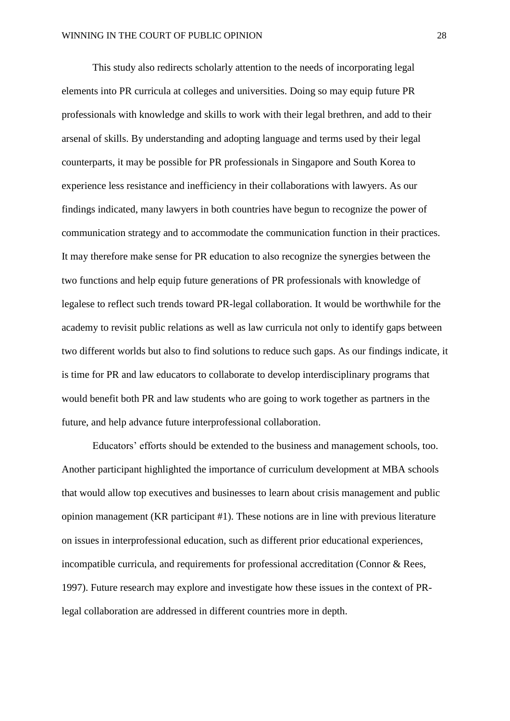This study also redirects scholarly attention to the needs of incorporating legal elements into PR curricula at colleges and universities. Doing so may equip future PR professionals with knowledge and skills to work with their legal brethren, and add to their arsenal of skills. By understanding and adopting language and terms used by their legal counterparts, it may be possible for PR professionals in Singapore and South Korea to experience less resistance and inefficiency in their collaborations with lawyers. As our findings indicated, many lawyers in both countries have begun to recognize the power of communication strategy and to accommodate the communication function in their practices. It may therefore make sense for PR education to also recognize the synergies between the two functions and help equip future generations of PR professionals with knowledge of legalese to reflect such trends toward PR-legal collaboration. It would be worthwhile for the academy to revisit public relations as well as law curricula not only to identify gaps between two different worlds but also to find solutions to reduce such gaps. As our findings indicate, it is time for PR and law educators to collaborate to develop interdisciplinary programs that would benefit both PR and law students who are going to work together as partners in the future, and help advance future interprofessional collaboration.

Educators' efforts should be extended to the business and management schools, too. Another participant highlighted the importance of curriculum development at MBA schools that would allow top executives and businesses to learn about crisis management and public opinion management (KR participant #1). These notions are in line with previous literature on issues in interprofessional education, such as different prior educational experiences, incompatible curricula, and requirements for professional accreditation (Connor & Rees, 1997). Future research may explore and investigate how these issues in the context of PRlegal collaboration are addressed in different countries more in depth.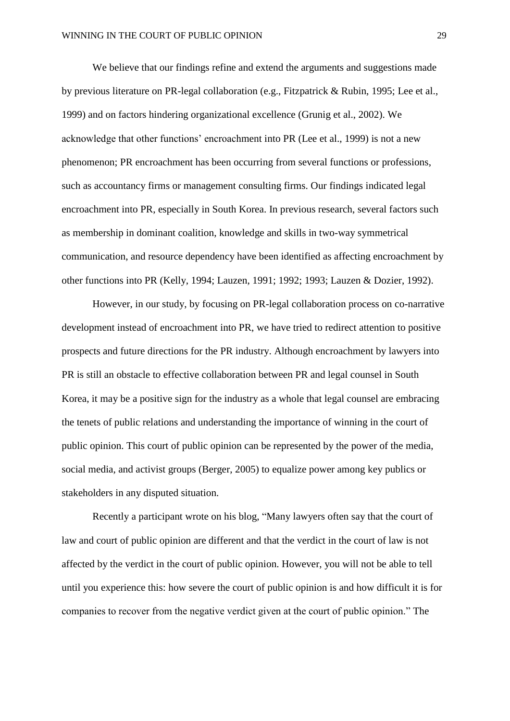We believe that our findings refine and extend the arguments and suggestions made by previous literature on PR-legal collaboration (e.g., Fitzpatrick & Rubin, 1995; Lee et al., 1999) and on factors hindering organizational excellence (Grunig et al., 2002). We acknowledge that other functions' encroachment into PR (Lee et al., 1999) is not a new phenomenon; PR encroachment has been occurring from several functions or professions, such as accountancy firms or management consulting firms. Our findings indicated legal encroachment into PR, especially in South Korea. In previous research, several factors such as membership in dominant coalition, knowledge and skills in two-way symmetrical communication, and resource dependency have been identified as affecting encroachment by other functions into PR (Kelly, 1994; Lauzen, 1991; 1992; 1993; Lauzen & Dozier, 1992).

However, in our study, by focusing on PR-legal collaboration process on co-narrative development instead of encroachment into PR, we have tried to redirect attention to positive prospects and future directions for the PR industry. Although encroachment by lawyers into PR is still an obstacle to effective collaboration between PR and legal counsel in South Korea, it may be a positive sign for the industry as a whole that legal counsel are embracing the tenets of public relations and understanding the importance of winning in the court of public opinion. This court of public opinion can be represented by the power of the media, social media, and activist groups (Berger, 2005) to equalize power among key publics or stakeholders in any disputed situation.

Recently a participant wrote on his blog, "Many lawyers often say that the court of law and court of public opinion are different and that the verdict in the court of law is not affected by the verdict in the court of public opinion. However, you will not be able to tell until you experience this: how severe the court of public opinion is and how difficult it is for companies to recover from the negative verdict given at the court of public opinion." The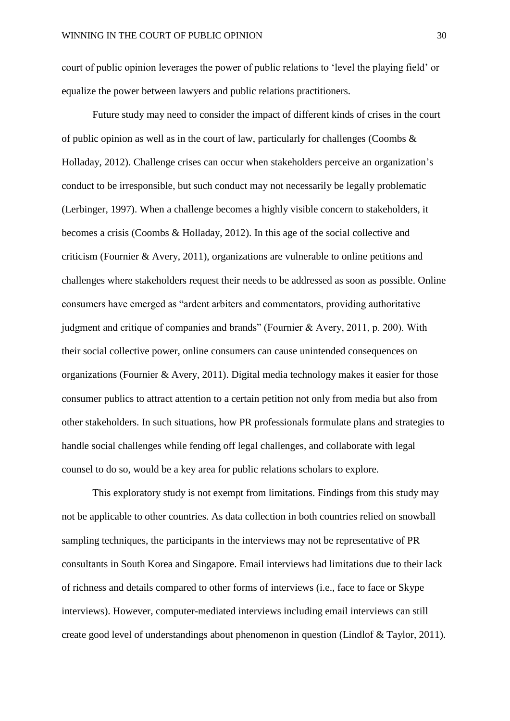court of public opinion leverages the power of public relations to 'level the playing field' or equalize the power between lawyers and public relations practitioners.

Future study may need to consider the impact of different kinds of crises in the court of public opinion as well as in the court of law, particularly for challenges (Coombs  $\&$ Holladay, 2012). Challenge crises can occur when stakeholders perceive an organization's conduct to be irresponsible, but such conduct may not necessarily be legally problematic (Lerbinger, 1997). When a challenge becomes a highly visible concern to stakeholders, it becomes a crisis (Coombs & Holladay, 2012). In this age of the social collective and criticism (Fournier & Avery, 2011), organizations are vulnerable to online petitions and challenges where stakeholders request their needs to be addressed as soon as possible. Online consumers have emerged as "ardent arbiters and commentators, providing authoritative judgment and critique of companies and brands" (Fournier & Avery, 2011, p. 200). With their social collective power, online consumers can cause unintended consequences on organizations (Fournier & Avery, 2011). Digital media technology makes it easier for those consumer publics to attract attention to a certain petition not only from media but also from other stakeholders. In such situations, how PR professionals formulate plans and strategies to handle social challenges while fending off legal challenges, and collaborate with legal counsel to do so, would be a key area for public relations scholars to explore.

This exploratory study is not exempt from limitations. Findings from this study may not be applicable to other countries. As data collection in both countries relied on snowball sampling techniques, the participants in the interviews may not be representative of PR consultants in South Korea and Singapore. Email interviews had limitations due to their lack of richness and details compared to other forms of interviews (i.e., face to face or Skype interviews). However, computer-mediated interviews including email interviews can still create good level of understandings about phenomenon in question (Lindlof & Taylor, 2011).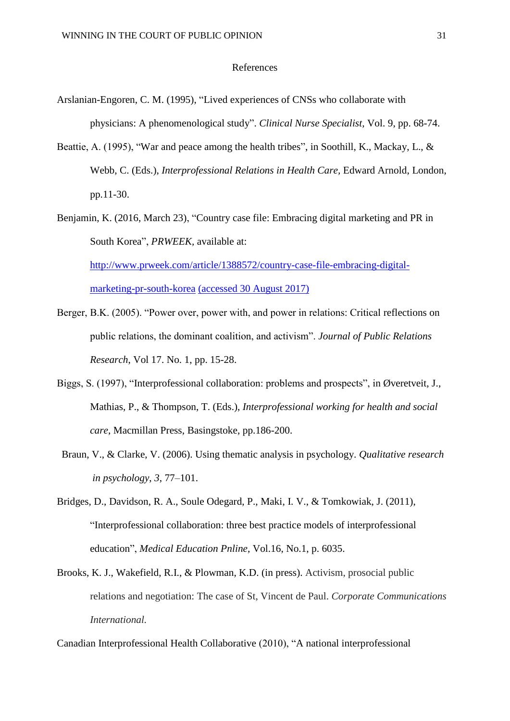### References

- Arslanian-Engoren, C. M. (1995), "Lived experiences of CNSs who collaborate with physicians: A phenomenological study". *Clinical Nurse Specialist,* Vol. 9, pp. 68-74.
- Beattie, A. (1995), "War and peace among the health tribes", in Soothill, K., Mackay, L., & Webb, C. (Eds.), *Interprofessional Relations in Health Care,* Edward Arnold, London, pp.11-30.
- Benjamin, K. (2016, March 23), "Country case file: Embracing digital marketing and PR in South Korea", *PRWEEK,* available at: [http://www.prweek.com/article/1388572/country-case-file-embracing-digital](http://www.prweek.com/article/1388572/country-case-file-embracing-digital-marketing-pr-south-korea)[marketing-pr-south-korea](http://www.prweek.com/article/1388572/country-case-file-embracing-digital-marketing-pr-south-korea) (accessed 30 August 2017)
- Berger, B.K. (2005). "Power over, power with, and power in relations: Critical reflections on public relations, the dominant coalition, and activism". *Journal of Public Relations Research*, Vol 17. No. 1, pp. 15-28.
- Biggs, S. (1997), "Interprofessional collaboration: problems and prospects", in Øveretveit, J., Mathias, P., & Thompson, T. (Eds.), *Interprofessional working for health and social care*, Macmillan Press, Basingstoke, pp.186-200.
- Braun, V., & Clarke, V. (2006). Using thematic analysis in psychology. *Qualitative research in psychology*, *3*, 77–101.
- Bridges, D., Davidson, R. A., Soule Odegard, P., Maki, I. V., & Tomkowiak, J. (2011), "Interprofessional collaboration: three best practice models of interprofessional education", *Medical Education Pnline,* Vol.16, No.1, p. 6035.
- Brooks, K. J., Wakefield, R.I., & Plowman, K.D. (in press). Activism, prosocial public relations and negotiation: The case of St, Vincent de Paul. *Corporate Communications International.*

Canadian Interprofessional Health Collaborative (2010), "A national interprofessional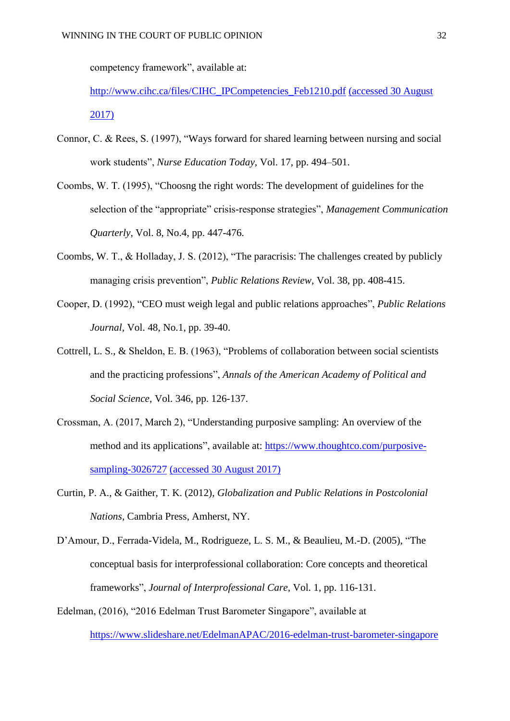competency framework", available at:

[http://www.cihc.ca/files/CIHC\\_IPCompetencies\\_Feb1210.pdf](http://www.cihc.ca/files/CIHC_IPCompetencies_Feb1210.pdf) (accessed 30 August 2017)

- Connor, C. & Rees, S. (1997), "Ways forward for shared learning between nursing and social work students", *Nurse Education Today,* Vol. 17, pp. 494–501.
- Coombs, W. T. (1995), "Choosng the right words: The development of guidelines for the selection of the "appropriate" crisis-response strategies", *Management Communication Quarterly,* Vol. 8, No.4, pp. 447-476.
- Coombs, W. T., & Holladay, J. S. (2012), "The paracrisis: The challenges created by publicly managing crisis prevention", *Public Relations Review,* Vol. 38, pp. 408-415.
- Cooper, D. (1992), "CEO must weigh legal and public relations approaches", *Public Relations Journal,* Vol. 48, No.1, pp. 39-40.
- Cottrell, L. S., & Sheldon, E. B. (1963), "Problems of collaboration between social scientists and the practicing professions", *Annals of the American Academy of Political and Social Science,* Vol. 346, pp. 126-137.
- Crossman, A. (2017, March 2), "Understanding purposive sampling: An overview of the method and its applications", available at: [https://www.thoughtco.com/purposive](https://www.thoughtco.com/purposive-sampling-3026727)[sampling-3026727](https://www.thoughtco.com/purposive-sampling-3026727) (accessed 30 August 2017)
- Curtin, P. A., & Gaither, T. K. (2012), *Globalization and Public Relations in Postcolonial Nations,* Cambria Press, Amherst, NY.
- D'Amour, D., Ferrada-Videla, M., Rodrigueze, L. S. M., & Beaulieu, M.-D. (2005), "The conceptual basis for interprofessional collaboration: Core concepts and theoretical frameworks", *Journal of Interprofessional Care,* Vol. 1, pp. 116-131.
- Edelman, (2016), "2016 Edelman Trust Barometer Singapore", available at <https://www.slideshare.net/EdelmanAPAC/2016-edelman-trust-barometer-singapore>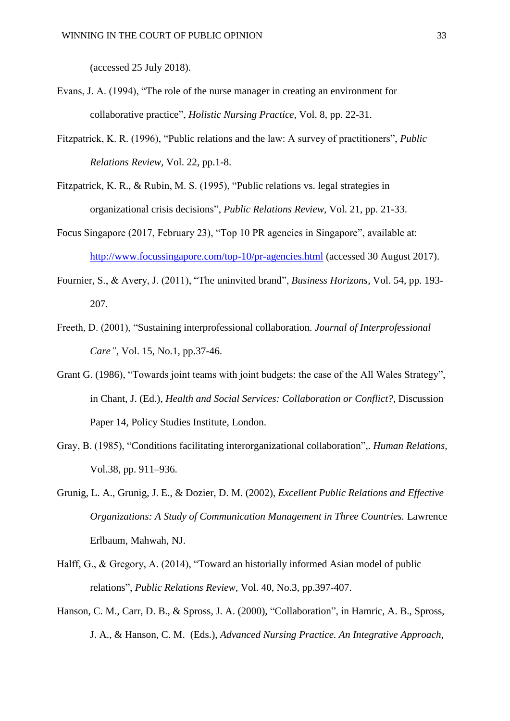(accessed 25 July 2018).

- Evans, J. A. (1994), "The role of the nurse manager in creating an environment for collaborative practice", *Holistic Nursing Practice,* Vol. 8, pp. 22-31.
- Fitzpatrick, K. R. (1996), "Public relations and the law: A survey of practitioners", *Public Relations Review,* Vol. 22, pp.1-8.
- Fitzpatrick, K. R., & Rubin, M. S. (1995), "Public relations vs. legal strategies in organizational crisis decisions", *Public Relations Review,* Vol. 21, pp. 21-33.
- Focus Singapore (2017, February 23), "Top 10 PR agencies in Singapore", available at: <http://www.focussingapore.com/top-10/pr-agencies.html> (accessed 30 August 2017).
- Fournier, S., & Avery, J. (2011), "The uninvited brand", *Business Horizons,* Vol. 54, pp. 193- 207.
- Freeth, D. (2001), "Sustaining interprofessional collaboration. *Journal of Interprofessional Care",* Vol. 15, No.1, pp.37-46.
- Grant G. (1986), "Towards joint teams with joint budgets: the case of the All Wales Strategy", in Chant, J. (Ed.), *Health and Social Services: Collaboration or Conflict?*, Discussion Paper 14, Policy Studies Institute, London.
- Gray, B. (1985), "Conditions facilitating interorganizational collaboration",. *Human Relations,*  Vol.38, pp. 911–936.
- Grunig, L. A., Grunig, J. E., & Dozier, D. M. (2002), *Excellent Public Relations and Effective Organizations: A Study of Communication Management in Three Countries. Lawrence* Erlbaum, Mahwah, NJ.
- Halff, G., & Gregory, A. (2014), "Toward an historially informed Asian model of public relations", *Public Relations Review,* Vol. 40, No.3, pp.397-407.
- Hanson, C. M., Carr, D. B., & Spross, J. A. (2000), "Collaboration", in Hamric, A. B., Spross, J. A., & Hanson, C. M. (Eds.), *Advanced Nursing Practice. An Integrative Approach,*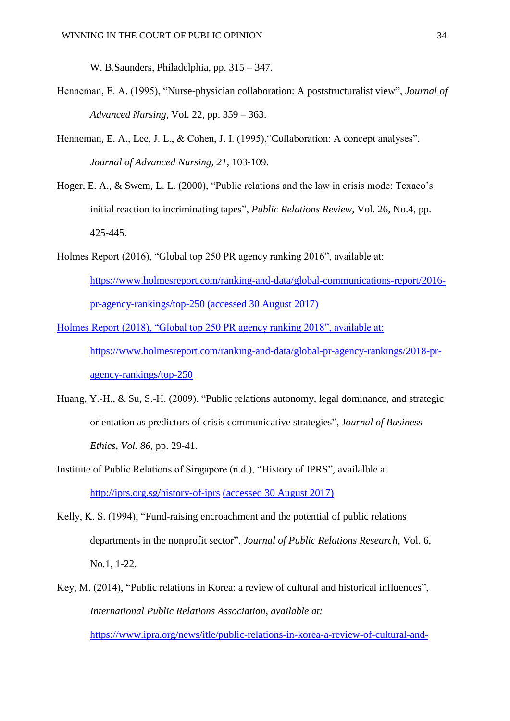W. B.Saunders, Philadelphia, pp. 315 – 347.

- Henneman, E. A. (1995), "Nurse-physician collaboration: A poststructuralist view", *Journal of Advanced Nursing,* Vol. 22, pp. 359 – 363.
- Henneman, E. A., Lee, J. L., & Cohen, J. I. (1995), "Collaboration: A concept analyses", *Journal of Advanced Nursing, 21*, 103-109.
- Hoger, E. A., & Swem, L. L. (2000), "Public relations and the law in crisis mode: Texaco's initial reaction to incriminating tapes", *Public Relations Review,* Vol. 26, No.4, pp. 425-445.
- Holmes Report (2016), "Global top 250 PR agency ranking 2016", available at: [https://www.holmesreport.com/ranking-and-data/global-communications-report/2016](https://www.holmesreport.com/ranking-and-data/global-communications-report/2016-pr-agency-rankings/top-250) [pr-agency-rankings/top-250](https://www.holmesreport.com/ranking-and-data/global-communications-report/2016-pr-agency-rankings/top-250) (accessed 30 August 2017)
- Holmes Report (2018), "Global top 250 PR agency ranking 2018", available at: [https://www.holmesreport.com/ranking-and-data/global-pr-agency-rankings/2018-pr](https://www.holmesreport.com/ranking-and-data/global-pr-agency-rankings/2018-pr-agency-rankings/top-250)[agency-rankings/top-250](https://www.holmesreport.com/ranking-and-data/global-pr-agency-rankings/2018-pr-agency-rankings/top-250)
- Huang, Y.-H., & Su, S.-H. (2009), "Public relations autonomy, legal dominance, and strategic orientation as predictors of crisis communicative strategies", J*ournal of Business Ethics, Vol. 86*, pp. 29-41.
- Institute of Public Relations of Singapore (n.d.), "History of IPRS"*,* availalble at <http://iprs.org.sg/history-of-iprs> (accessed 30 August 2017)
- Kelly, K. S. (1994), "Fund-raising encroachment and the potential of public relations departments in the nonprofit sector", *Journal of Public Relations Research,* Vol. 6, No.1, 1-22.
- Key, M. (2014), "Public relations in Korea: a review of cultural and historical influences", *International Public Relations Association, available at:*

[https://www.ipra.org/news/itle/public-relations-in-korea-a-review-of-cultural-and-](https://www.ipra.org/news/itle/public-relations-in-korea-a-review-of-cultural-and-historical-influences/)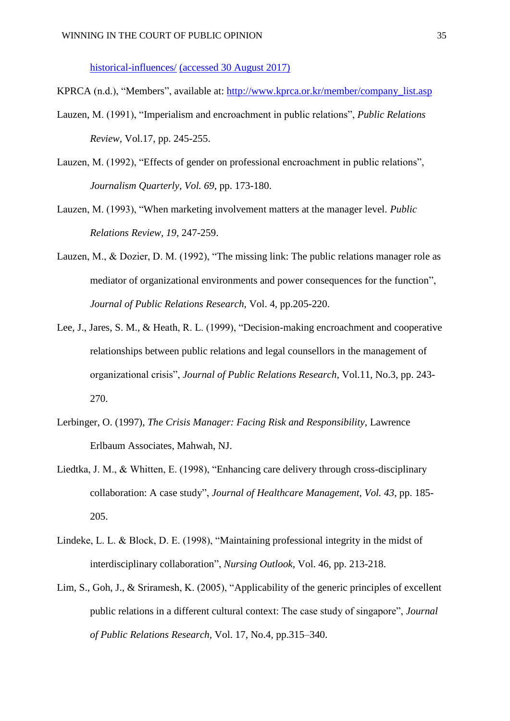[historical-influences/](https://www.ipra.org/news/itle/public-relations-in-korea-a-review-of-cultural-and-historical-influences/) (accessed 30 August 2017)

- KPRCA (n.d.), "Members", available at: [http://www.kprca.or.kr/member/company\\_list.asp](http://www.kprca.or.kr/member/company_list.asp)
- Lauzen, M. (1991), "Imperialism and encroachment in public relations", *Public Relations Review,* Vol.17, pp. 245-255.
- Lauzen, M. (1992), "Effects of gender on professional encroachment in public relations", *Journalism Quarterly, Vol. 69*, pp. 173-180.
- Lauzen, M. (1993), "When marketing involvement matters at the manager level. *Public Relations Review, 19,* 247-259.
- Lauzen, M., & Dozier, D. M. (1992), "The missing link: The public relations manager role as mediator of organizational environments and power consequences for the function", *Journal of Public Relations Research,* Vol. 4, pp.205-220.
- Lee, J., Jares, S. M., & Heath, R. L. (1999), "Decision-making encroachment and cooperative relationships between public relations and legal counsellors in the management of organizational crisis", *Journal of Public Relations Research,* Vol.11, No.3, pp. 243- 270.
- Lerbinger, O. (1997), *The Crisis Manager: Facing Risk and Responsibility*, Lawrence Erlbaum Associates, Mahwah, NJ.
- Liedtka, J. M., & Whitten, E. (1998), "Enhancing care delivery through cross-disciplinary collaboration: A case study", *Journal of Healthcare Management, Vol. 43*, pp. 185- 205.
- Lindeke, L. L. & Block, D. E. (1998), "Maintaining professional integrity in the midst of interdisciplinary collaboration", *Nursing Outlook,* Vol. 46, pp. 213-218.
- Lim, S., Goh, J., & Sriramesh, K. (2005), "Applicability of the generic principles of excellent public relations in a different cultural context: The case study of singapore", *Journal of Public Relations Research,* Vol. 17, No.4, pp.315–340.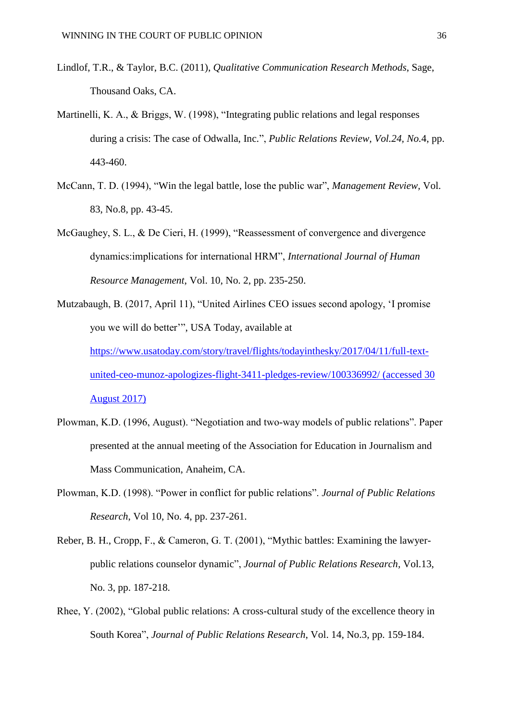- Lindlof, T.R., & Taylor, B.C. (2011), *Qualitative Communication Research Methods*, Sage, Thousand Oaks, CA.
- Martinelli, K. A., & Briggs, W. (1998), "Integrating public relations and legal responses during a crisis: The case of Odwalla, Inc.", *Public Relations Review, Vol.24, No.*4, pp. 443-460.
- McCann, T. D. (1994), "Win the legal battle, lose the public war", *Management Review,* Vol. 83, No.8, pp. 43-45.
- McGaughey, S. L., & De Cieri, H. (1999), "Reassessment of convergence and divergence dynamics:implications for international HRM", *International Journal of Human Resource Management*, Vol. 10, No. 2, pp. 235-250.
- Mutzabaugh, B. (2017, April 11), "United Airlines CEO issues second apology, 'I promise you we will do better'", USA Today, available at [https://www.usatoday.com/story/travel/flights/todayinthesky/2017/04/11/full-text](https://www.usatoday.com/story/travel/flights/todayinthesky/2017/04/11/full-text-united-ceo-munoz-apologizes-flight-3411-pledges-review/100336992/)[united-ceo-munoz-apologizes-flight-3411-pledges-review/100336992/](https://www.usatoday.com/story/travel/flights/todayinthesky/2017/04/11/full-text-united-ceo-munoz-apologizes-flight-3411-pledges-review/100336992/) (accessed 30 August 2017)
- Plowman, K.D. (1996, August). "Negotiation and two-way models of public relations". Paper presented at the annual meeting of the Association for Education in Journalism and Mass Communication, Anaheim, CA.
- Plowman, K.D. (1998). "Power in conflict for public relations". *Journal of Public Relations Research*, Vol 10, No. 4, pp. 237-261.
- Reber, B. H., Cropp, F., & Cameron, G. T. (2001), "Mythic battles: Examining the lawyerpublic relations counselor dynamic", *Journal of Public Relations Research,* Vol.13, No. 3, pp. 187-218.
- Rhee, Y. (2002), "Global public relations: A cross-cultural study of the excellence theory in South Korea", *Journal of Public Relations Research*, Vol. 14, No.3, pp. 159-184.